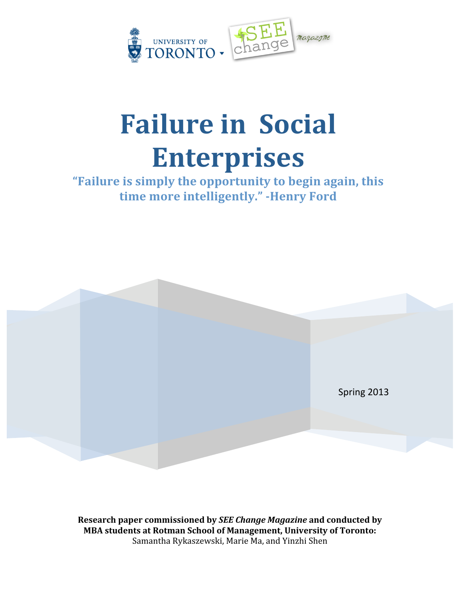

# **Failure
in

Social Enterprises**

## **"Failure
is
simply
the
opportunity
to
begin
again,
this**  time more intelligently." **Henry Ford**



**Research
paper
commissioned
by** *SEE
Change
Magazine***and
conducted
by MBA
students
at
Rotman
School
of
Management,
University
of
Toronto:** Samantha
Rykaszewski,
Marie
Ma,
and
Yinzhi
Shen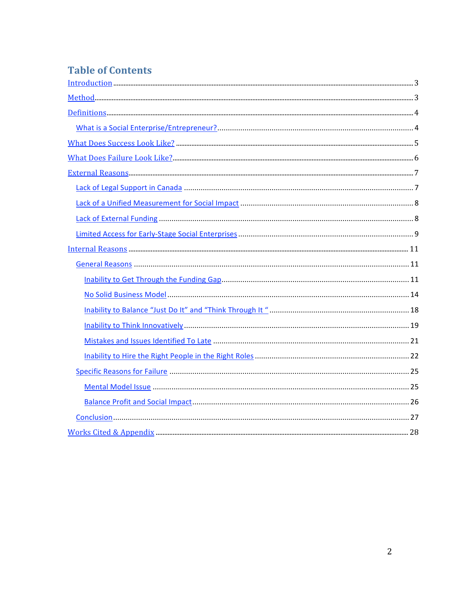## **Table of Contents**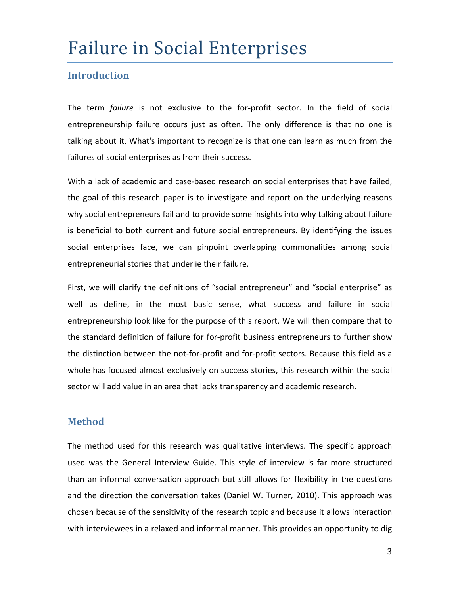## Failure
in
Social
Enterprises

## **Introduction**

The term *failure* is not exclusive to the for-profit sector. In the field of social entrepreneurship failure occurs just as often. The only difference is that no one is talking about it. What's important to recognize is that one can learn as much from the failures of social enterprises as from their success.

With a lack of academic and case-based research on social enterprises that have failed, the goal of this research paper is to investigate and report on the underlying reasons why social entrepreneurs fail and to provide some insights into why talking about failure is beneficial to both current and future social entrepreneurs. By identifying the issues social enterprises face, we can pinpoint overlapping commonalities among social entrepreneurial
stories
that
underlie
their
failure.

First, we will clarify the definitions of "social entrepreneur" and "social enterprise" as well as define, in the most basic sense, what success and failure in social entrepreneurship look like for the purpose of this report. We will then compare that to the standard definition of failure for for-profit business entrepreneurs to further show the distinction between the not-for-profit and for-profit sectors. Because this field as a whole has focused almost exclusively on success stories, this research within the social sector will add value in an area that lacks transparency and academic research.

## **Method**

The method used for this research was qualitative interviews. The specific approach used was the General Interview Guide. This style of interview is far more structured than an informal conversation approach but still allows for flexibility in the questions and the direction the conversation takes (Daniel W. Turner, 2010). This approach was chosen because of the sensitivity of the research topic and because it allows interaction with interviewees in a relaxed and informal manner. This provides an opportunity to dig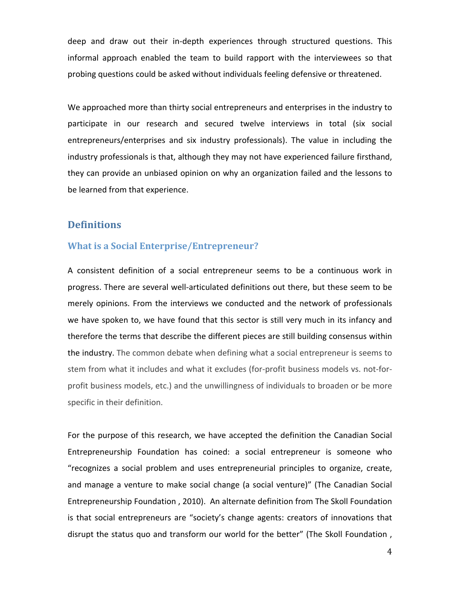deep and draw out their in-depth experiences through structured questions. This informal approach enabled the team to build rapport with the interviewees so that probing
questions
could
be
asked
without
individuals
feeling
defensive
or
threatened.

We approached more than thirty social entrepreneurs and enterprises in the industry to participate in our research and secured twelve interviews in total (six social entrepreneurs/enterprises and six industry professionals). The value in including the industry professionals is that, although they may not have experienced failure firsthand, they can provide an unbiased opinion on why an organization failed and the lessons to be
learned
from
that
experience.

## **Definitions**

#### **What
is
a
Social
Enterprise/Entrepreneur?**

A consistent definition of a social entrepreneur seems to be a continuous work in progress. There are several well-articulated definitions out there, but these seem to be merely opinions. From the interviews we conducted and the network of professionals we have spoken to, we have found that this sector is still very much in its infancy and therefore the terms that describe the different pieces are still building consensus within the industry. The common debate when defining what a social entrepreneur is seems to stem from what it includes and what it excludes (for-profit business models vs. not-forprofit
business
models,
etc.)
and
the
unwillingness
of
individuals
to
broaden
or
be
more specific in their definition.

For the purpose of this research, we have accepted the definition the Canadian Social Entrepreneurship Foundation has coined: a social entrepreneur is someone who "recognizes
 a
 social
 problem
 and
 uses
 entrepreneurial
 principles
 to
 organize,
 create, and manage a venture to make social change (a social venture)" (The Canadian Social Entrepreneurship
Foundation
,
2010).

An
alternate
definition
from
The
Skoll
Foundation is that social entrepreneurs are "society's change agents: creators of innovations that disrupt the status quo and transform our world for the better" (The Skoll Foundation,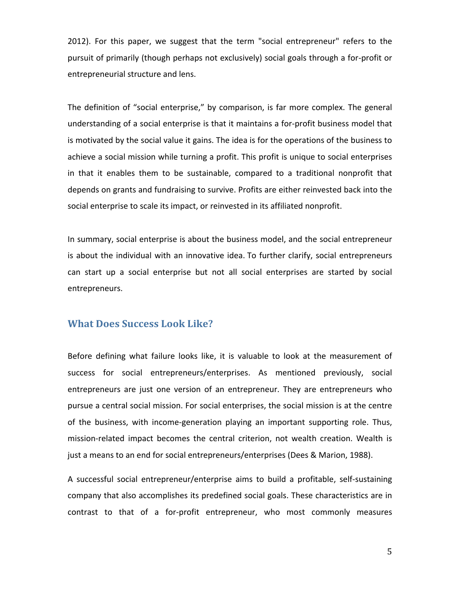2012). For this paper, we suggest that the term "social entrepreneur" refers to the pursuit of primarily (though perhaps not exclusively) social goals through a for-profit or entrepreneurial
structure
and
lens.

The definition of "social enterprise," by comparison, is far more complex. The general understanding of a social enterprise is that it maintains a for-profit business model that is motivated by the social value it gains. The idea is for the operations of the business to achieve a social mission while turning a profit. This profit is unique to social enterprises in that it enables them to be sustainable, compared to a traditional nonprofit that depends on grants and fundraising to survive. Profits are either reinvested back into the social enterprise to scale its impact, or reinvested in its affiliated nonprofit.

In summary, social enterprise is about the business model, and the social entrepreneur is about the individual with an innovative idea. To further clarify, social entrepreneurs can start up a social enterprise but not all social enterprises are started by social entrepreneurs.

#### **What
Does
Success
Look
Like?**

Before defining what failure looks like, it is valuable to look at the measurement of success
 for
 social
 entrepreneurs/enterprises. As
 mentioned
 previously,
 social entrepreneurs are just one version of an entrepreneur. They are entrepreneurs who pursue a central social mission. For social enterprises, the social mission is at the centre of the business, with income-generation playing an important supporting role. Thus, mission-related impact becomes the central criterion, not wealth creation. Wealth is just a means to an end for social entrepreneurs/enterprises (Dees & Marion, 1988).

A
 successful
 social
 entrepreneur/enterprise
 aims
 to
 build
 a
 profitable,
 self‐sustaining company that also accomplishes its predefined social goals. These characteristics are in contrast to that of a for-profit entrepreneur, who most commonly measures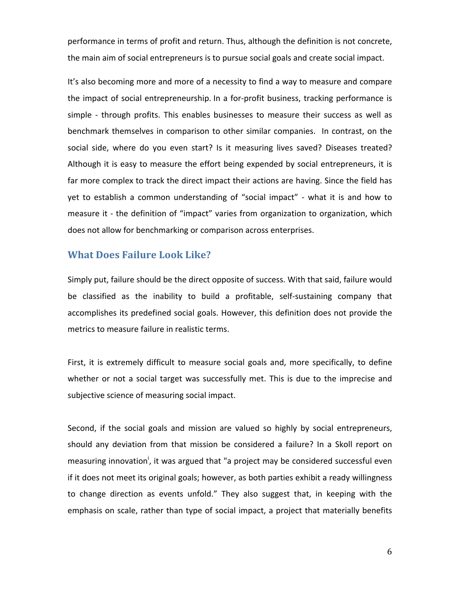performance in terms of profit and return. Thus, although the definition is not concrete, the main aim of social entrepreneurs is to pursue social goals and create social impact.

It's also becoming more and more of a necessity to find a way to measure and compare the impact of social entrepreneurship. In a for-profit business, tracking performance is simple - through profits. This enables businesses to measure their success as well as benchmark themselves in comparison to other similar companies. In contrast, on the social side, where do you even start? Is it measuring lives saved? Diseases treated? Although it is easy to measure the effort being expended by social entrepreneurs, it is far more complex to track the direct impact their actions are having. Since the field has yet to establish a common understanding of "social impact" - what it is and how to measure it - the definition of "impact" varies from organization to organization, which does not allow for benchmarking or comparison across enterprises.

## **What
Does
Failure
Look
Like?**

Simply put, failure should be the direct opposite of success. With that said, failure would be classified as the inability to build a profitable, self-sustaining company that accomplishes its predefined social goals. However, this definition does not provide the metrics to measure failure in realistic terms.

First, it is extremely difficult to measure social goals and, more specifically, to define whether or not a social target was successfully met. This is due to the imprecise and subjective
science
of
measuring
social
impact.

Second, if the social goals and mission are valued so highly by social entrepreneurs, should any deviation from that mission be considered a failure? In a Skoll report on measuring innovation<sup>i</sup>, it was argued that "a project may be considered successful even if
it
does
not
meet
its
original
goals;
however,
as
both
parties
exhibit
a
ready
willingness to change direction as events unfold." They also suggest that, in keeping with the emphasis on scale, rather than type of social impact, a project that materially benefits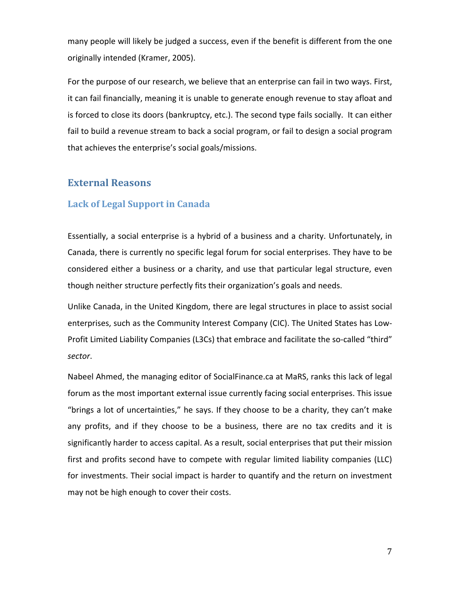many people will likely be judged a success, even if the benefit is different from the one originally
intended
(Kramer,
2005).

For the purpose of our research, we believe that an enterprise can fail in two ways. First, it can fail financially, meaning it is unable to generate enough revenue to stay afloat and is forced to close its doors (bankruptcy, etc.). The second type fails socially. It can either fail to build a revenue stream to back a social program, or fail to design a social program that
achieves
the
enterprise's
social
goals/missions.

## **External
Reasons**

#### **Lack
of
Legal
Support
in
Canada**

Essentially, a social enterprise is a hybrid of a business and a charity. Unfortunately, in Canada, there is currently no specific legal forum for social enterprises. They have to be considered either a business or a charity, and use that particular legal structure, even though neither structure perfectly fits their organization's goals and needs.

Unlike Canada, in the United Kingdom, there are legal structures in place to assist social enterprises, such as the Community Interest Company (CIC). The United States has Low-Profit Limited Liability Companies (L3Cs) that embrace and facilitate the so-called "third" *sector*.

Nabeel Ahmed, the managing editor of SocialFinance.ca at MaRS, ranks this lack of legal forum as the most important external issue currently facing social enterprises. This issue "brings a lot of uncertainties," he says. If they choose to be a charity, they can't make any profits, and if they choose to be a business, there are no tax credits and it is significantly harder to access capital. As a result, social enterprises that put their mission first and profits second have to compete with regular limited liability companies (LLC) for investments. Their social impact is harder to quantify and the return on investment may
not
be
high
enough
to
cover
their
costs.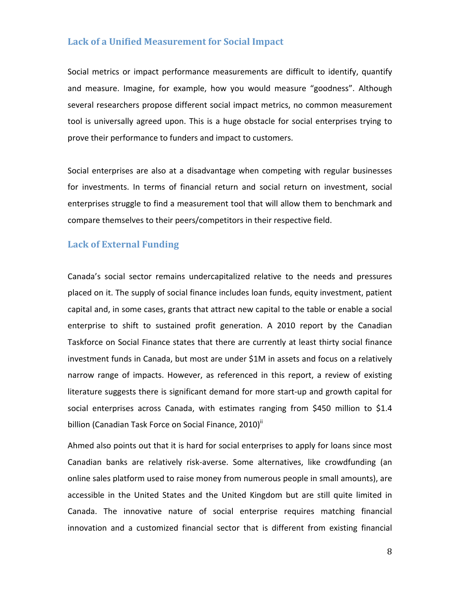## **Lack
of
a
Unified
Measurement
for
Social
Impact**

Social metrics or impact performance measurements are difficult to identify, quantify and measure. Imagine, for example, how you would measure "goodness". Although several
researchers
propose
different
social
impact
metrics,
no
common
measurement tool is universally agreed upon. This is a huge obstacle for social enterprises trying to prove
their
performance
to
funders
and
impact
to
customers.

Social enterprises are also at a disadvantage when competing with regular businesses for investments. In terms of financial return and social return on investment, social enterprises struggle to find a measurement tool that will allow them to benchmark and compare themselves to their peers/competitors in their respective field.

## **Lack
of
External
Funding**

Canada's social sector remains undercapitalized relative to the needs and pressures placed
on
it.
The
supply
of
social
finance
includes
loan
funds,
equity
investment,
patient capital and, in some cases, grants that attract new capital to the table or enable a social enterprise to shift to sustained profit generation. A 2010 report by the Canadian Taskforce on Social Finance states that there are currently at least thirty social finance investment funds in Canada, but most are under \$1M in assets and focus on a relatively narrow range of impacts. However, as referenced in this report, a review of existing literature suggests there is significant demand for more start-up and growth capital for social enterprises across Canada, with estimates ranging from \$450 million to \$1.4 billion (Canadian Task Force on Social Finance, 2010)<sup>ii</sup>

Ahmed also points out that it is hard for social enterprises to apply for loans since most Canadian banks are relatively risk-averse. Some alternatives, like crowdfunding (an online sales platform used to raise money from numerous people in small amounts), are accessible in the United States and the United Kingdom but are still quite limited in Canada. The innovative nature of social enterprise requires matching financial innovation and a customized financial sector that is different from existing financial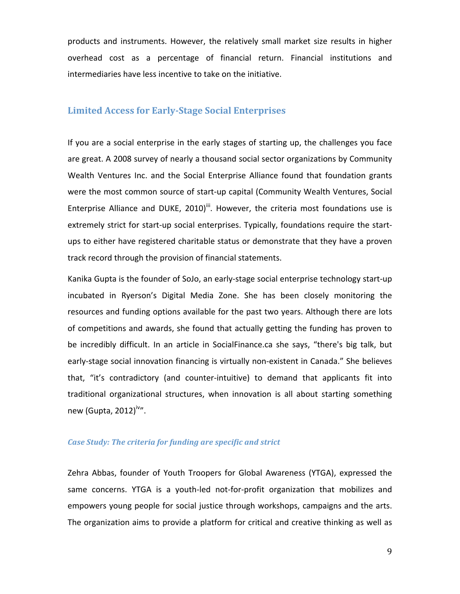products
 and
 instruments.
However,
 the
 relatively
 small
 market
 size
 results
 in
 higher overhead cost as a percentage of financial return. Financial institutions and intermediaries have less incentive to take on the initiative.

#### **Limited Access for Early-Stage Social Enterprises**

If you are a social enterprise in the early stages of starting up, the challenges you face are great. A 2008 survey of nearly a thousand social sector organizations by Community Wealth Ventures Inc. and the Social Enterprise Alliance found that foundation grants were the most common source of start-up capital (Community Wealth Ventures, Social Enterprise Alliance and DUKE, 2010)<sup>iii</sup>. However, the criteria most foundations use is extremely strict for start-up social enterprises. Typically, foundations require the startups to either have registered charitable status or demonstrate that they have a proven track
record
through
the
provision
of
financial
statements.

Kanika Gupta is the founder of SoJo, an early-stage social enterprise technology start-up incubated in Ryerson's Digital Media Zone. She has been closely monitoring the resources and funding options available for the past two years. Although there are lots of
competitions
and
awards,
she
 found
that
actually
getting
the
 funding
has
proven
to be incredibly difficult. In an article in SocialFinance.ca she says, "there's big talk, but early-stage social innovation financing is virtually non-existent in Canada." She believes that, "it's contradictory (and counter-intuitive) to demand that applicants fit into traditional organizational structures, when innovation is all about starting something new (Gupta, 2012)<sup>iv</sup>".

#### *Case
Study:
The
criteria
for
funding
are
specific
and
strict*

Zehra Abbas, founder of Youth Troopers for Global Awareness (YTGA), expressed the same concerns. YTGA is a youth-led not-for-profit organization that mobilizes and empowers young people for social justice through workshops, campaigns and the arts. The organization aims to provide a platform for critical and creative thinking as well as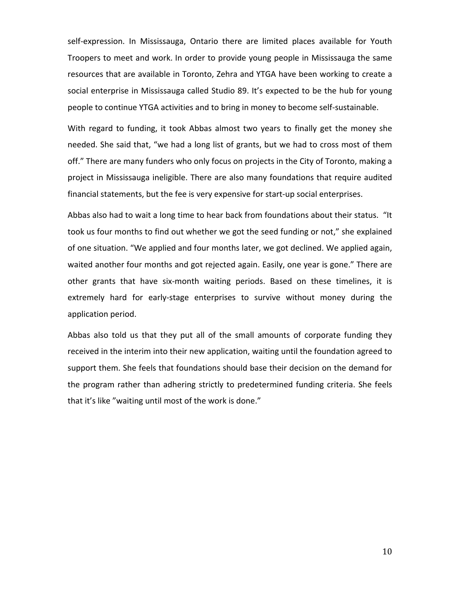self-expression. In Mississauga, Ontario there are limited places available for Youth Troopers to meet and work. In order to provide young people in Mississauga the same resources that are available in Toronto, Zehra and YTGA have been working to create a social enterprise in Mississauga called Studio 89. It's expected to be the hub for young people to continue YTGA activities and to bring in money to become self-sustainable.

With regard to funding, it took Abbas almost two years to finally get the money she needed. She said that, "we had a long list of grants, but we had to cross most of them off." There are many funders who only focus on projects in the City of Toronto, making a project in Mississauga ineligible. There are also many foundations that require audited financial statements, but the fee is very expensive for start-up social enterprises.

Abbas also had to wait a long time to hear back from foundations about their status. "It took us four months to find out whether we got the seed funding or not," she explained of one situation. "We applied and four months later, we got declined. We applied again, waited another four months and got rejected again. Easily, one year is gone." There are other grants that have six-month waiting periods. Based on these timelines, it is extremely hard for early-stage enterprises to survive without money during the application
period.

Abbas also told us that they put all of the small amounts of corporate funding they received in the interim into their new application, waiting until the foundation agreed to support them. She feels that foundations should base their decision on the demand for the program rather than adhering strictly to predetermined funding criteria. She feels that it's like "waiting until most of the work is done."

10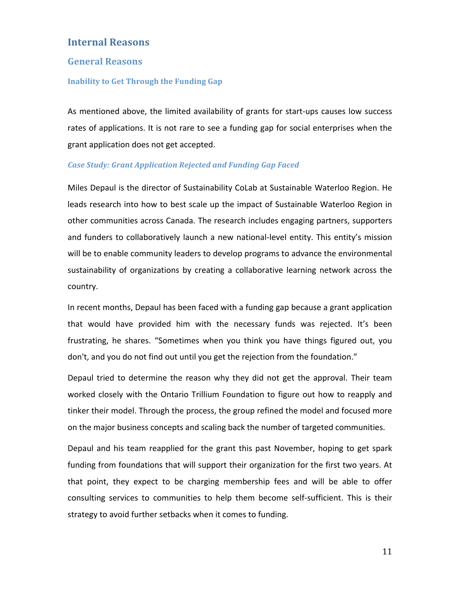## **Internal
Reasons**

#### **General
Reasons**

#### **Inability
to
Get
Through
the
Funding
Gap**

As mentioned above, the limited availability of grants for start-ups causes low success rates of applications. It is not rare to see a funding gap for social enterprises when the grant
application
does
not
get
accepted.

#### *Case
Study:
Grant
Application
Rejected
and
Funding
Gap
Faced*

Miles Depaul is the director of Sustainability CoLab at Sustainable Waterloo Region. He leads research into how to best scale up the impact of Sustainable Waterloo Region in other
communities
across
Canada.
The
research
includes
engaging
partners,
supporters and funders to collaboratively launch a new national-level entity. This entity's mission will be to enable community leaders to develop programs to advance the environmental sustainability of organizations by creating a collaborative learning network across the country.

In recent months, Depaul has been faced with a funding gap because a grant application that would have provided him with the necessary funds was rejected. It's been frustrating, he shares. "Sometimes when you think you have things figured out, you don't, and you do not find out until you get the rejection from the foundation."

Depaul tried to determine the reason why they did not get the approval. Their team worked closely with the Ontario Trillium Foundation to figure out how to reapply and tinker their model. Through the process, the group refined the model and focused more on
the
major
business
concepts
and
scaling
back
the
number
of
targeted
communities.

Depaul and his team reapplied for the grant this past November, hoping to get spark funding from foundations that will support their organization for the first two years. At that point, they expect to be charging membership fees and will be able to offer consulting services to communities to help them become self-sufficient. This is their strategy
to
avoid
further
setbacks
when
it
comes
to
funding.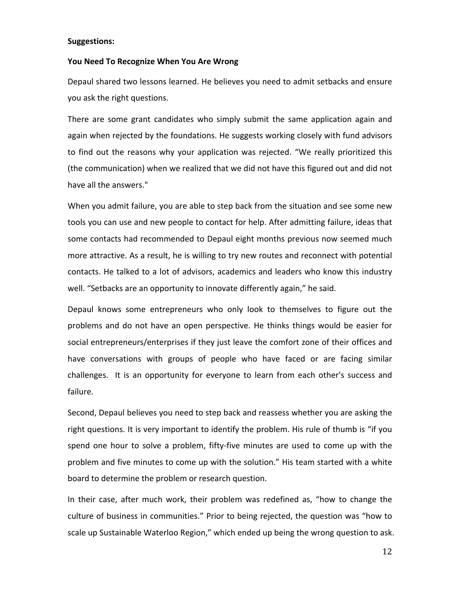#### **Suggestions:**

#### You Need To Recognize When You Are Wrong

Depaul shared two lessons learned. He believes you need to admit setbacks and ensure you
ask
the
right
questions.

There are some grant candidates who simply submit the same application again and again when rejected by the foundations. He suggests working closely with fund advisors to find out the reasons why your application was rejected. "We really prioritized this (the communication) when we realized that we did not have this figured out and did not have
all
the
answers."

When you admit failure, you are able to step back from the situation and see some new tools you can use and new people to contact for help. After admitting failure, ideas that some contacts had recommended to Depaul eight months previous now seemed much more attractive. As a result, he is willing to try new routes and reconnect with potential contacts. He talked to a lot of advisors, academics and leaders who know this industry well. "Setbacks are an opportunity to innovate differently again," he said.

Depaul knows some entrepreneurs who only look to themselves to figure out the problems and do not have an open perspective. He thinks things would be easier for social entrepreneurs/enterprises if they just leave the comfort zone of their offices and have conversations with groups of people who have faced or are facing similar challenges. It is an opportunity for everyone to learn from each other's success and failure.

Second, Depaul believes you need to step back and reassess whether you are asking the right questions. It is very important to identify the problem. His rule of thumb is "if you spend one hour to solve a problem, fifty-five minutes are used to come up with the problem and five minutes to come up with the solution." His team started with a white board
to
determine
the
problem
or
research
question.

In their case, after much work, their problem was redefined as, "how to change the culture of business in communities." Prior to being rejected, the question was "how to scale up Sustainable Waterloo Region," which ended up being the wrong question to ask.

12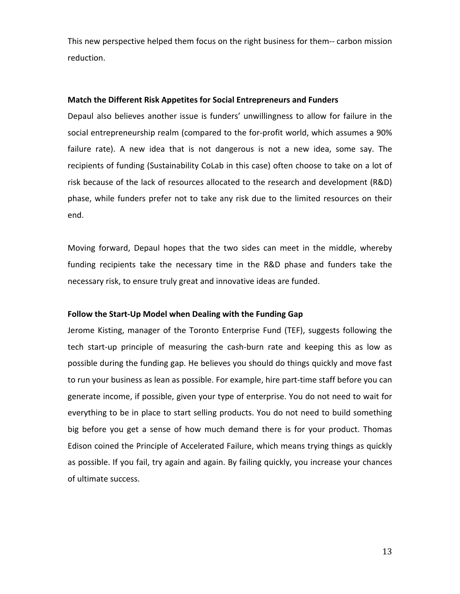This new perspective helped them focus on the right business for them-- carbon mission reduction.

#### Match the Different Risk Appetites for Social Entrepreneurs and Funders

Depaul also believes another issue is funders' unwillingness to allow for failure in the social entrepreneurship realm (compared to the for-profit world, which assumes a 90% failure rate). A new idea that is not dangerous is not a new idea, some say. The recipients of funding (Sustainability CoLab in this case) often choose to take on a lot of risk because of the lack of resources allocated to the research and development (R&D) phase, while funders prefer not to take any risk due to the limited resources on their end.

Moving forward, Depaul hopes that the two sides can meet in the middle, whereby funding recipients take the necessary time in the R&D phase and funders take the necessary risk, to ensure truly great and innovative ideas are funded.

#### Follow the Start-Up Model when Dealing with the Funding Gap

Jerome Kisting, manager of the Toronto Enterprise Fund (TEF), suggests following the tech start-up principle of measuring the cash-burn rate and keeping this as low as possible during the funding gap. He believes you should do things quickly and move fast to run your business as lean as possible. For example, hire part-time staff before you can generate income, if possible, given your type of enterprise. You do not need to wait for everything to be in place to start selling products. You do not need to build something big before you get a sense of how much demand there is for your product. Thomas Edison coined the Principle of Accelerated Failure, which means trying things as quickly as possible. If you fail, try again and again. By failing quickly, you increase your chances of
ultimate
success.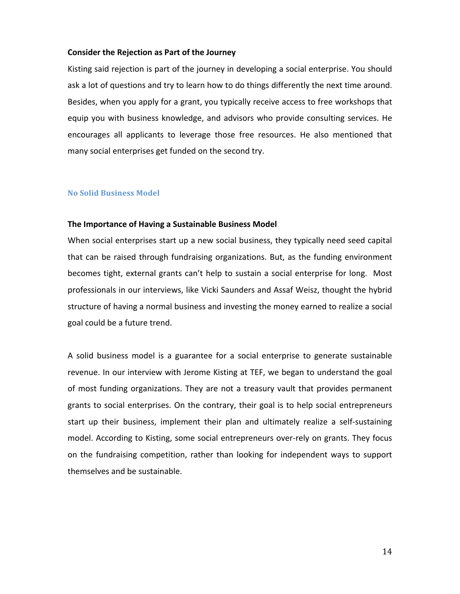#### **Consider
the
Rejection
as
Part
of
the
Journey**

Kisting said rejection is part of the journey in developing a social enterprise. You should ask a lot of questions and try to learn how to do things differently the next time around. Besides, when you apply for a grant, you typically receive access to free workshops that equip you with business knowledge, and advisors who provide consulting services. He encourages all applicants to leverage those free resources. He also mentioned that many
social
enterprises
get
funded
on
the
second
try.

#### **No
Solid
Business
Model**

#### **The
Importance
of
Having
a
Sustainable
Business
Model**

When social enterprises start up a new social business, they typically need seed capital that can be raised through fundraising organizations. But, as the funding environment becomes tight, external grants can't help to sustain a social enterprise for long. Most professionals in our interviews, like Vicki Saunders and Assaf Weisz, thought the hybrid structure of having a normal business and investing the money earned to realize a social goal
could
be
a
future
trend.

A solid business model is a guarantee for a social enterprise to generate sustainable revenue. In our interview with Jerome Kisting at TEF, we began to understand the goal of
most
 funding
 organizations.
They
are
 not
a
 treasury
vault
 that
 provides
 permanent grants to social enterprises. On the contrary, their goal is to help social entrepreneurs start up their business, implement their plan and ultimately realize a self-sustaining model. According to Kisting, some social entrepreneurs over-rely on grants. They focus on the fundraising competition, rather than looking for independent ways to support themselves
and
be
sustainable.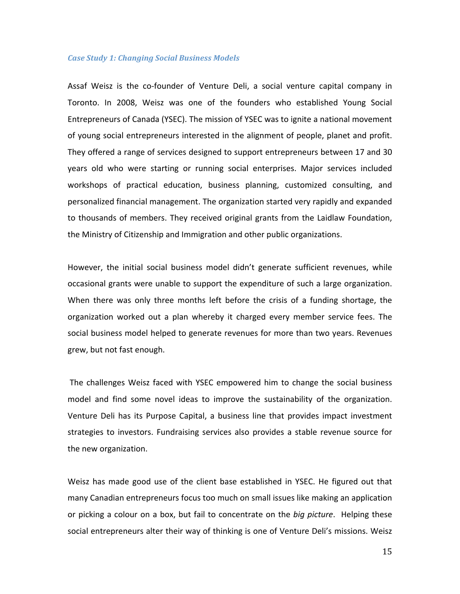#### *Case
Study
1:
Changing
Social
Business
Models*

Assaf Weisz is the co-founder of Venture Deli, a social venture capital company in Toronto. In 2008, Weisz was one of the founders who established Young Social Entrepreneurs
of
Canada
(YSEC).
The
mission
of
YSEC
was
to
ignite
a
national
movement of young social entrepreneurs interested in the alignment of people, planet and profit. They offered a range of services designed to support entrepreneurs between 17 and 30 years old who were starting or running social enterprises. Major services included workshops of practical education, business planning, customized consulting, and personalized
financial
management.
The
organization
started
very
rapidly
and
expanded to thousands of members. They received original grants from the Laidlaw Foundation, the Ministry of Citizenship and Immigration and other public organizations.

However, the initial social business model didn't generate sufficient revenues, while occasional grants were unable to support the expenditure of such a large organization. When there was only three months left before the crisis of a funding shortage, the organization worked out a plan whereby it charged every member service fees. The social business model helped to generate revenues for more than two years. Revenues grew,
but
not
fast
enough.

The challenges Weisz faced with YSEC empowered him to change the social business model and find some novel ideas to improve the sustainability of the organization. Venture Deli has its Purpose Capital, a business line that provides impact investment strategies to investors. Fundraising services also provides a stable revenue source for the
new
organization.

Weisz has made good use of the client base established in YSEC. He figured out that many
Canadian
entrepreneurs
focus
too
much
on
small
issues
like
making
an
application or picking a colour on a box, but fail to concentrate on the big picture. Helping these social entrepreneurs alter their way of thinking is one of Venture Deli's missions. Weisz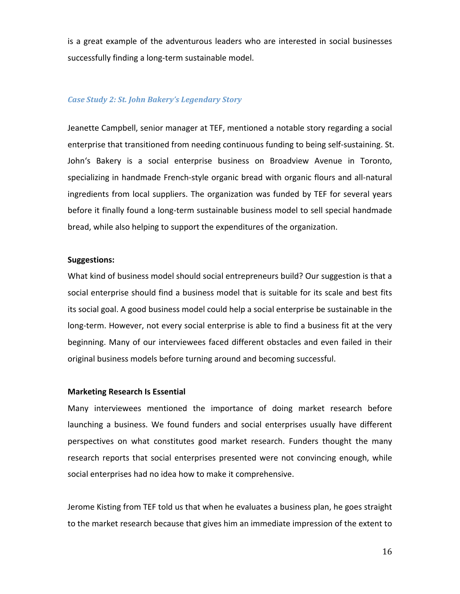is
a
great
example
 of
the
adventurous
leaders
who
are
interested
in
 social
 businesses successfully finding a long-term sustainable model.

#### *Case
Study
2:
St.
John
Bakery's
Legendary
Story*

Jeanette Campbell, senior manager at TEF, mentioned a notable story regarding a social enterprise that transitioned from needing continuous funding to being self-sustaining. St. John's Bakery is a social enterprise business on Broadview Avenue in Toronto, specializing in handmade French-style organic bread with organic flours and all-natural ingredients from local suppliers. The organization was funded by TEF for several years before it finally found a long-term sustainable business model to sell special handmade bread, while also helping to support the expenditures of the organization.

#### **Suggestions:**

What kind of business model should social entrepreneurs build? Our suggestion is that a social enterprise should find a business model that is suitable for its scale and best fits its social goal. A good business model could help a social enterprise be sustainable in the long-term. However, not every social enterprise is able to find a business fit at the very beginning. Many of our interviewees faced different obstacles and even failed in their original
business
models
before
turning
around
and
becoming
successful.

#### **Marketing
Research
Is
Essential**

Many interviewees mentioned the importance of doing market research before launching a business. We found funders and social enterprises usually have different perspectives on what constitutes good market research. Funders thought the many research reports that social enterprises presented were not convincing enough, while social enterprises had no idea how to make it comprehensive.

Jerome Kisting from TEF told us that when he evaluates a business plan, he goes straight to the market research because that gives him an immediate impression of the extent to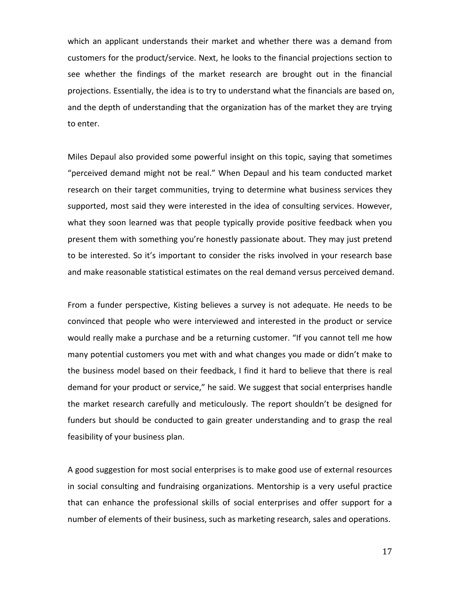which an applicant understands their market and whether there was a demand from customers for the product/service. Next, he looks to the financial projections section to see whether the findings of the market research are brought out in the financial projections. Essentially, the idea is to try to understand what the financials are based on, and the depth of understanding that the organization has of the market they are trying to
enter.

Miles Depaul also provided some powerful insight on this topic, saying that sometimes "perceived demand might not be real." When Depaul and his team conducted market research on their target communities, trying to determine what business services they supported, most said they were interested in the idea of consulting services. However, what they soon learned was that people typically provide positive feedback when you present them with something you're honestly passionate about. They may just pretend to be interested. So it's important to consider the risks involved in your research base and make reasonable statistical estimates on the real demand versus perceived demand.

From a funder perspective, Kisting believes a survey is not adequate. He needs to be convinced that people who were interviewed and interested in the product or service would really make a purchase and be a returning customer. "If you cannot tell me how many potential customers you met with and what changes you made or didn't make to the business model based on their feedback, I find it hard to believe that there is real demand for your product or service," he said. We suggest that social enterprises handle the market research carefully and meticulously. The report shouldn't be designed for funders but should be conducted to gain greater understanding and to grasp the real feasibility
of
your
business
plan.

A good suggestion for most social enterprises is to make good use of external resources in social consulting and fundraising organizations. Mentorship is a very useful practice that can enhance the professional skills of social enterprises and offer support for a number of elements of their business, such as marketing research, sales and operations.

17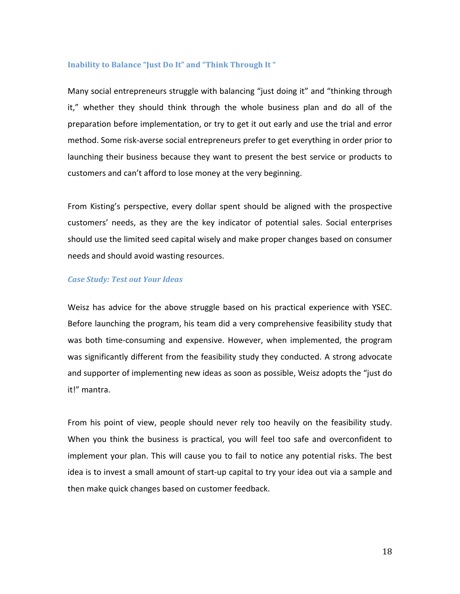#### Inability to Balance "Just Do It" and "Think Through It"

Many social entrepreneurs struggle with balancing "just doing it" and "thinking through it," whether they should think through the whole business plan and do all of the preparation
before
implementation,
or
try
to
get
it
out
early
and
use
the
trial
and
error method. Some risk-averse social entrepreneurs prefer to get everything in order prior to launching their business because they want to present the best service or products to customers and can't afford to lose money at the very beginning.

From Kisting's perspective, every dollar spent should be aligned with the prospective customers' needs, as they are the key indicator of potential sales. Social enterprises should use the limited seed capital wisely and make proper changes based on consumer needs
and
should
avoid
wasting
resources.

#### *Case
Study:
Test
out
Your
Ideas*

Weisz has advice for the above struggle based on his practical experience with YSEC. Before launching the program, his team did a very comprehensive feasibility study that was both time-consuming and expensive. However, when implemented, the program was significantly different from the feasibility study they conducted. A strong advocate and supporter of implementing new ideas as soon as possible, Weisz adopts the "just do it!"
mantra.

From his point of view, people should never rely too heavily on the feasibility study. When you think the business is practical, you will feel too safe and overconfident to implement your plan. This will cause you to fail to notice any potential risks. The best idea is to invest a small amount of start-up capital to try your idea out via a sample and then
make
quick
changes
based
on
customer
feedback.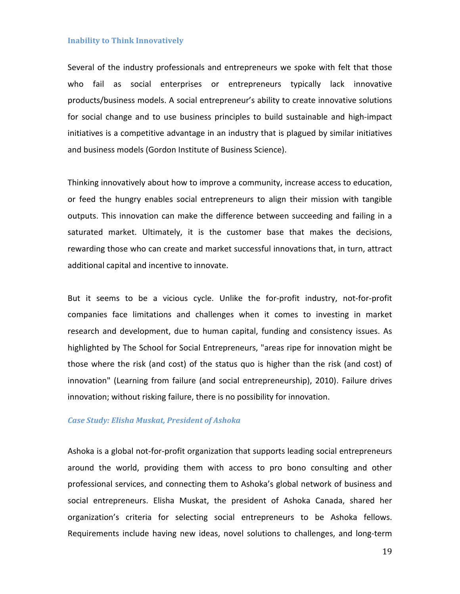#### **Inability
to
Think
Innovatively**

Several of the industry professionals and entrepreneurs we spoke with felt that those who fail as social enterprises or entrepreneurs typically lack innovative products/business models. A social entrepreneur's ability to create innovative solutions for social change and to use business principles to build sustainable and high-impact initiatives is a competitive advantage in an industry that is plagued by similar initiatives and
business
models
(Gordon
Institute
of
Business
Science).

Thinking innovatively about how to improve a community, increase access to education, or
 feed
 the
 hungry
 enables
 social
 entrepreneurs
 to
 align
 their
 mission
 with
 tangible outputs. This innovation can make the difference between succeeding and failing in a saturated market. Ultimately, it is the customer base that makes the decisions, rewarding those who can create and market successful innovations that, in turn, attract additional capital and incentive to innovate.

But it seems to be a vicious cycle. Unlike the for-profit industry, not-for-profit companies face limitations and challenges when it comes to investing in market research and development, due to human capital, funding and consistency issues. As highlighted by The School for Social Entrepreneurs, "areas ripe for innovation might be those where the risk (and cost) of the status quo is higher than the risk (and cost) of innovation" (Learning from failure (and social entrepreneurship), 2010). Failure drives innovation; without risking failure, there is no possibility for innovation.

#### *Case
Study:
Elisha
Muskat,
President
of
Ashoka*

Ashoka is a global not-for-profit organization that supports leading social entrepreneurs around the world, providing them with access to pro bono consulting and other professional
services,
and
connecting
them
to
Ashoka's
global
network
of
business
and social entrepreneurs. Elisha Muskat, the president of Ashoka Canada, shared her organization's criteria for selecting social entrepreneurs to be Ashoka fellows. Requirements include having new ideas, novel solutions to challenges, and long-term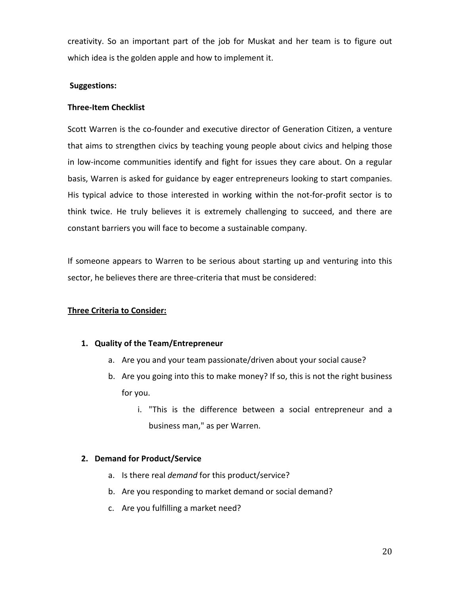creativity. So an important part of the job for Muskat and her team is to figure out which idea is the golden apple and how to implement it.

#### **Suggestions:**

#### **Three‐Item
Checklist**

Scott Warren is the co-founder and executive director of Generation Citizen, a venture that aims to strengthen civics by teaching young people about civics and helping those in low-income communities identify and fight for issues they care about. On a regular basis, Warren is asked for guidance by eager entrepreneurs looking to start companies. His typical advice to those interested in working within the not-for-profit sector is to think twice. He truly believes it is extremely challenging to succeed, and there are constant
barriers
you
will
face
to
become
a
sustainable
company.

If someone appears to Warren to be serious about starting up and venturing into this sector, he believes there are three-criteria that must be considered:

## **Three
Criteria
to
Consider:**

#### **1. Quality
of
the
Team/Entrepreneur**

- a. Are you and your team passionate/driven about your social cause?
- b. Are you going into this to make money? If so, this is not the right business for
you.
	- i. "This is the difference between a social entrepreneur and a business
	man,"
	as
	per
	Warren.

#### **2. Demand
for
Product/Service**

- a. Is there real *demand* for this product/service?
- b. Are you responding to market demand or social demand?
- c. Are
you
fulfilling
a
market
need?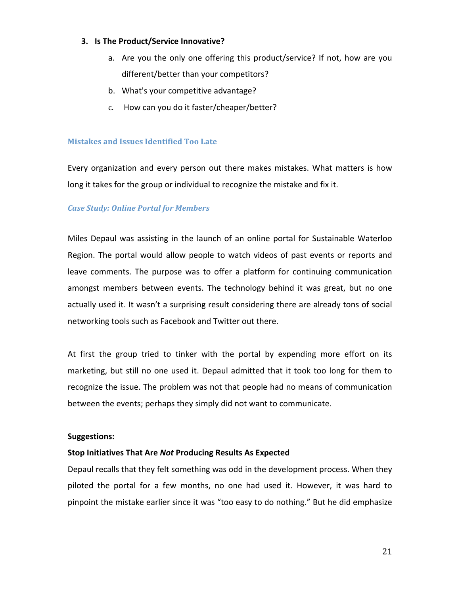#### **3. Is
The
Product/Service
Innovative?**

- a. Are you the only one offering this product/service? If not, how are you different/better
than
your
competitors?
- b. What's
your
competitive
advantage?
- c. How
can
you
do
it
faster/cheaper/better?

#### **Mistakes
and
Issues
Identified
Too
Late**

Every organization and every person out there makes mistakes. What matters is how long it takes for the group or individual to recognize the mistake and fix it.

#### *Case
Study:
Online
Portal
for
Members*

Miles Depaul was assisting in the launch of an online portal for Sustainable Waterloo Region. The portal would allow people to watch videos of past events or reports and leave comments. The purpose was to offer a platform for continuing communication amongst
 members
 between
 events.
 The
 technology
 behind
 it
 was
 great,
 but
 no
 one actually used it. It wasn't a surprising result considering there are already tons of social networking
tools
such
as
Facebook
and
Twitter
out
there.

At first the group tried to tinker with the portal by expending more effort on its marketing, but still no one used it. Depaul admitted that it took too long for them to recognize the issue. The problem was not that people had no means of communication between the events; perhaps they simply did not want to communicate.

#### **Suggestions:**

#### **Stop
Initiatives
That
Are** *Not***Producing
Results
As
Expected**

Depaul recalls that they felt something was odd in the development process. When they piloted the portal for a few months, no one had used it. However, it was hard to pinpoint the mistake earlier since it was "too easy to do nothing." But he did emphasize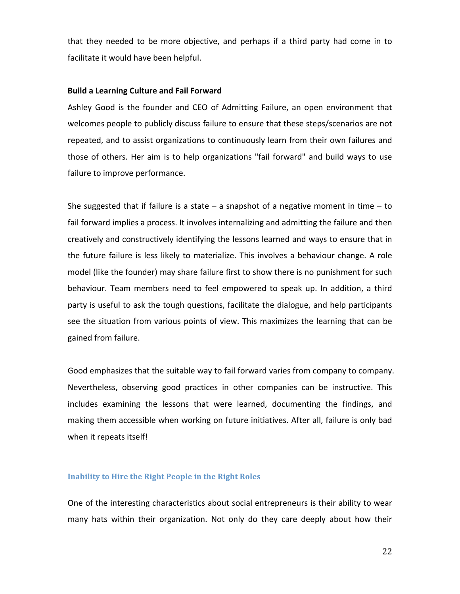that they needed to be more objective, and perhaps if a third party had come in to facilitate
it
would
have
been
helpful.

#### **Build
a
Learning
Culture
and
Fail
Forward**

Ashley Good is the founder and CEO of Admitting Failure, an open environment that welcomes people to publicly discuss failure to ensure that these steps/scenarios are not repeated, and to assist organizations to continuously learn from their own failures and those of others. Her aim is to help organizations "fail forward" and build ways to use failure
to
improve
performance.

She suggested that if failure is a state  $-$  a snapshot of a negative moment in time  $-$  to fail forward implies a process. It involves internalizing and admitting the failure and then creatively and constructively identifying the lessons learned and ways to ensure that in the future failure is less likely to materialize. This involves a behaviour change. A role model (like the founder) may share failure first to show there is no punishment for such behaviour. Team members need to feel empowered to speak up. In addition, a third party is useful to ask the tough questions, facilitate the dialogue, and help participants see the situation from various points of view. This maximizes the learning that can be gained
from
failure.

Good emphasizes that the suitable way to fail forward varies from company to company. Nevertheless, observing good practices in other companies can be instructive. This includes examining the lessons that were learned, documenting the findings, and making them accessible when working on future initiatives. After all, failure is only bad when it repeats itself!

#### **Inability
to
Hire
the
Right
People
in
the
Right
Roles**

One of the interesting characteristics about social entrepreneurs is their ability to wear many hats within their organization. Not only do they care deeply about how their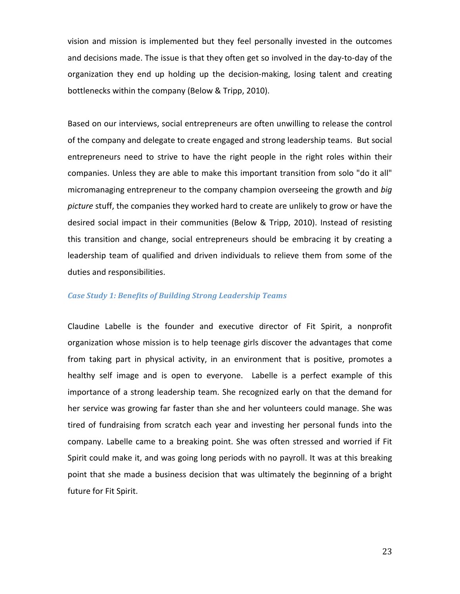vision and mission is implemented but they feel personally invested in the outcomes and decisions made. The issue is that they often get so involved in the day-to-day of the organization they end up holding up the decision-making, losing talent and creating bottlenecks within the company (Below & Tripp, 2010).

Based on our interviews, social entrepreneurs are often unwilling to release the control of the company and delegate to create engaged and strong leadership teams. But social entrepreneurs need to strive to have the right people in the right roles within their companies. Unless they are able to make this important transition from solo "do it all" micromanaging
entrepreneur
to
the
company
champion
overseeing
the
growth
and *big*  picture stuff, the companies they worked hard to create are unlikely to grow or have the desired social impact in their communities (Below & Tripp, 2010). Instead of resisting this transition and change, social entrepreneurs should be embracing it by creating a leadership team of qualified and driven individuals to relieve them from some of the duties
and
responsibilities.

#### *Case
Study
1:
Benefits
of
Building
Strong
Leadership
Teams*

Claudine Labelle is the founder and executive director of Fit Spirit, a nonprofit organization whose mission is to help teenage girls discover the advantages that come from taking part in physical activity, in an environment that is positive, promotes a healthy self image and is open to everyone. Labelle is a perfect example of this importance of a strong leadership team. She recognized early on that the demand for her service was growing far faster than she and her volunteers could manage. She was tired of fundraising from scratch each year and investing her personal funds into the company. Labelle came to a breaking point. She was often stressed and worried if Fit Spirit could make it, and was going long periods with no payroll. It was at this breaking point that she made a business decision that was ultimately the beginning of a bright future
for
Fit
Spirit.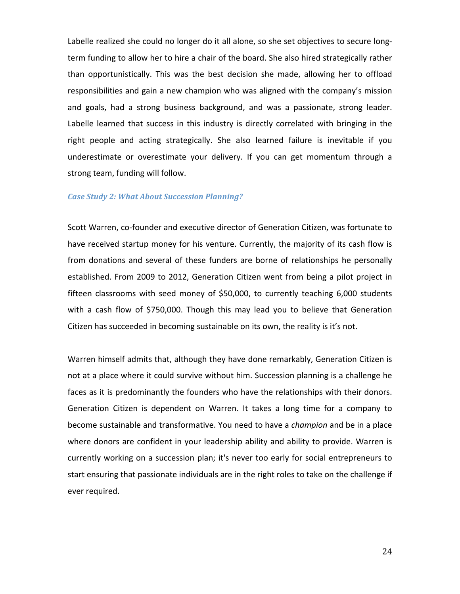Labelle realized she could no longer do it all alone, so she set objectives to secure longterm funding to allow her to hire a chair of the board. She also hired strategically rather than opportunistically. This was the best decision she made, allowing her to offload responsibilities and gain a new champion who was aligned with the company's mission and goals, had a strong business background, and was a passionate, strong leader. Labelle learned that success in this industry is directly correlated with bringing in the right people and acting strategically. She also learned failure is inevitable if you underestimate or overestimate your delivery. If you can get momentum through a strong
team,
funding
will
follow.

#### *Case
Study
2:
What
About
Succession
Planning?*

Scott Warren, co-founder and executive director of Generation Citizen, was fortunate to have received startup money for his venture. Currently, the majority of its cash flow is from donations and several of these funders are borne of relationships he personally established. From 2009 to 2012, Generation Citizen went from being a pilot project in fifteen classrooms with seed money of \$50,000, to currently teaching 6,000 students with a cash flow of \$750,000. Though this may lead you to believe that Generation Citizen has succeeded in becoming sustainable on its own, the reality is it's not.

Warren himself admits that, although they have done remarkably, Generation Citizen is not at a place where it could survive without him. Succession planning is a challenge he faces as it is predominantly the founders who have the relationships with their donors. Generation Citizen is dependent on Warren. It takes a long time for a company to become sustainable and transformative. You need to have a *champion* and be in a place where donors are confident in your leadership ability and ability to provide. Warren is currently working on a succession plan; it's never too early for social entrepreneurs to start ensuring that passionate individuals are in the right roles to take on the challenge if ever
required.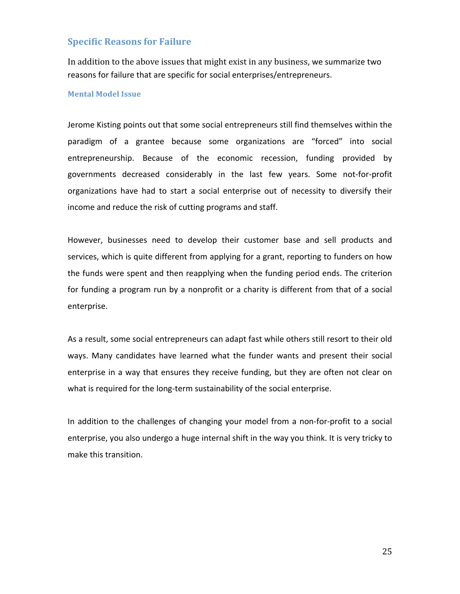#### **Specific
Reasons
for
Failure**

In addition to the above issues that might exist in any business, we summarize two reasons
for
failure that
are
specific
for
social
enterprises/entrepreneurs.

#### **Mental
Model
Issue**

Jerome Kisting points out that some social entrepreneurs still find themselves within the paradigm
 of a grantee
 because
 some
 organizations
 are
 "forced"
 into
 social entrepreneurship. Because of the economic recession, funding provided by governments
 decreased
 considerably in
 the
 last
 few
 years.
 Some
 not‐for‐profit organizations have had to start a social enterprise out of necessity to diversify their income and reduce the risk of cutting programs and staff.

However, businesses need to develop their customer base and sell products and services, which is quite different from applying for a grant, reporting to funders on how the funds were spent and then reapplying when the funding period ends. The criterion for funding a program run by a nonprofit or a charity is different from that of a social enterprise.

As a result, some social entrepreneurs can adapt fast while others still resort to their old ways. Many candidates have learned what the funder wants and present their social enterprise in a way that ensures they receive funding, but they are often not clear on what is required for the long-term sustainability of the social enterprise.

In addition to the challenges of changing your model from a non-for-profit to a social enterprise, you also undergo a huge internal shift in the way you think. It is very tricky to make
this
transition.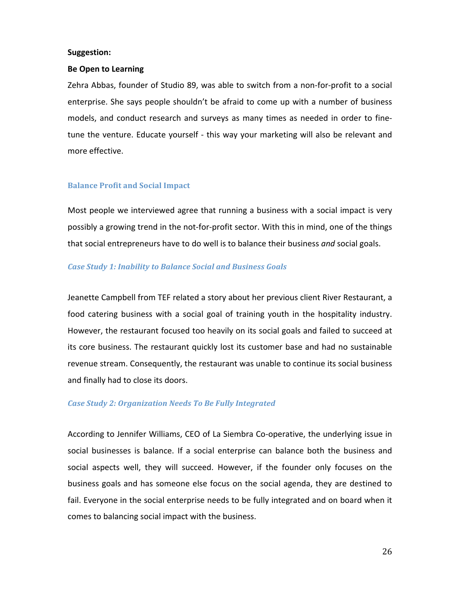#### **Suggestion:**

#### **Be
Open
to
Learning**

Zehra Abbas, founder of Studio 89, was able to switch from a non-for-profit to a social enterprise. She says people shouldn't be afraid to come up with a number of business models, and conduct research and surveys as many times as needed in order to finetune the venture. Educate yourself - this way your marketing will also be relevant and more
effective.

#### **Balance
Profit
and
Social
Impact**

Most people we interviewed agree that running a business with a social impact is very possibly a growing trend in the not-for-profit sector. With this in mind, one of the things that social entrepreneurs have to do well is to balance their business and social goals.

#### *Case
Study
1:
Inability
to
Balance
Social
and
Business
Goals*

Jeanette Campbell from TEF related a story about her previous client River Restaurant, a food catering business with a social goal of training youth in the hospitality industry. However, the restaurant focused too heavily on its social goals and failed to succeed at its core business. The restaurant quickly lost its customer base and had no sustainable revenue stream. Consequently, the restaurant was unable to continue its social business and
finally
had
to
close
its
doors.

#### *Case
Study
2:
Organization
Needs
To
Be
Fully
Integrated*

According to Jennifer Williams, CEO of La Siembra Co-operative, the underlying issue in social businesses is balance. If a social enterprise can balance both the business and social aspects well, they will succeed. However, if the founder only focuses on the business goals and has someone else focus on the social agenda, they are destined to fail. Everyone in the social enterprise needs to be fully integrated and on board when it comes
to
balancing
social
impact
with
the
business.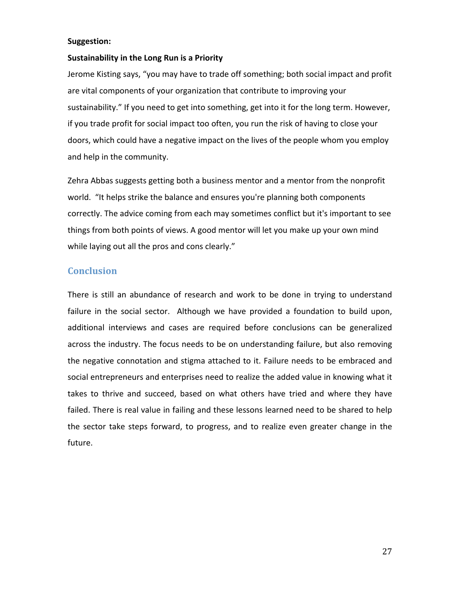#### **Suggestion:**

#### Sustainability in the Long Run is a Priority

Jerome Kisting says, "you may have to trade off something; both social impact and profit are vital components of your organization that contribute to improving your sustainability." If you need to get into something, get into it for the long term. However, if you trade profit for social impact too often, you run the risk of having to close your doors, which could have a negative impact on the lives of the people whom you employ and
help
in
the
community.

Zehra Abbas suggests getting both a business mentor and a mentor from the nonprofit world. "It helps strike the balance and ensures you're planning both components correctly. The advice coming from each may sometimes conflict but it's important to see things from both points of views. A good mentor will let you make up your own mind while laying out all the pros and cons clearly."

## **Conclusion**

There is still an abundance of research and work to be done in trying to understand failure in the social sector. Although we have provided a foundation to build upon, additional interviews and cases are required before conclusions can be generalized across the industry. The focus needs to be on understanding failure, but also removing the negative connotation and stigma attached to it. Failure needs to be embraced and social entrepreneurs and enterprises need to realize the added value in knowing what it takes to thrive and succeed, based on what others have tried and where they have failed. There is real value in failing and these lessons learned need to be shared to help the sector take steps forward, to progress, and to realize even greater change in the future.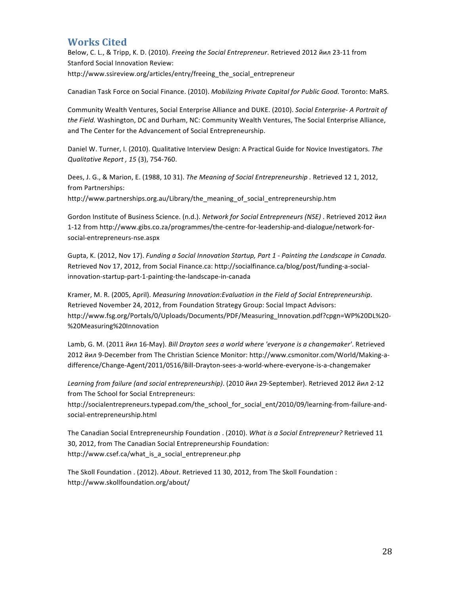## **Works
Cited**

Below, C. L., & Tripp, K. D. (2010). *Freeing the Social Entrepreneur*. Retrieved 2012 йил 23-11 from Stanford
Social
Innovation
Review: http://www.ssireview.org/articles/entry/freeing the social entrepreneur

Canadian Task Force on Social Finance. (2010). Mobilizing Private Capital for Public Good. Toronto: MaRS.

Community Wealth Ventures, Social Enterprise Alliance and DUKE. (2010). Social Enterprise- A Portrait of the Field. Washington, DC and Durham, NC: Community Wealth Ventures, The Social Enterprise Alliance, and
The
Center
for
the
Advancement
of
Social
Entrepreneurship.

Daniel W. Turner, I. (2010). Qualitative Interview Design: A Practical Guide for Novice Investigators. The *Qualitative
Report ,
15*(3),
754‐760.

Dees, J. G., & Marion, E. (1988, 10 31). The Meaning of Social Entrepreneurship . Retrieved 12 1, 2012, from
Partnerships:

http://www.partnerships.org.au/Library/the\_meaning\_of\_social\_entrepreneurship.htm

Gordon Institute of Business Science. (n.d.). Network for Social Entrepreneurs (NSE) . Retrieved 2012 йил 1‐12
from
http://www.gibs.co.za/programmes/the‐centre‐for‐leadership‐and‐dialogue/network‐for‐ social‐entrepreneurs‐nse.aspx

Gupta, K. (2012, Nov 17). *Funding a Social Innovation Startup, Part 1 - Painting the Landscape in Canada.* Retrieved Nov 17, 2012, from Social Finance.ca: http://socialfinance.ca/blog/post/funding-a-socialinnovation‐startup‐part‐1‐painting‐the‐landscape‐in‐canada

Kramer,
M.
R.
(2005,
April). *Measuring
Innovation:Evaluation
in
the
Field
of
Social
Entrepreneurship*. Retrieved
November
24,
2012,
from
Foundation
Strategy
Group:
Social
Impact
Advisors: http://www.fsg.org/Portals/0/Uploads/Documents/PDF/Measuring\_Innovation.pdf?cpgn=WP%20DL%20‐ %20Measuring%20Innovation

Lamb,
G.
M.
(2011
йил
16‐May). *Bill
Drayton
sees
a
world
where
'everyone
is
a
changemaker'*.
Retrieved 2012
йил
9‐December
from
The
Christian
Science
Monitor:
http://www.csmonitor.com/World/Making‐a‐ difference/Change‐Agent/2011/0516/Bill‐Drayton‐sees‐a‐world‐where‐everyone‐is‐a‐changemaker

Learning from failure (and social entrepreneurship). (2010 йил 29-September). Retrieved 2012 йил 2-12 from
The
School
for
Social
Entrepreneurs:

http://socialentrepreneurs.typepad.com/the\_school\_for\_social\_ent/2010/09/learning-from-failure-andsocial‐entrepreneurship.html

The Canadian Social Entrepreneurship Foundation . (2010). What is a Social Entrepreneur? Retrieved 11 30,
2012,
from
The
Canadian
Social
Entrepreneurship
Foundation: http://www.csef.ca/what\_is\_a\_social\_entrepreneur.php

The Skoll Foundation . (2012). About. Retrieved 11 30, 2012, from The Skoll Foundation : http://www.skollfoundation.org/about/